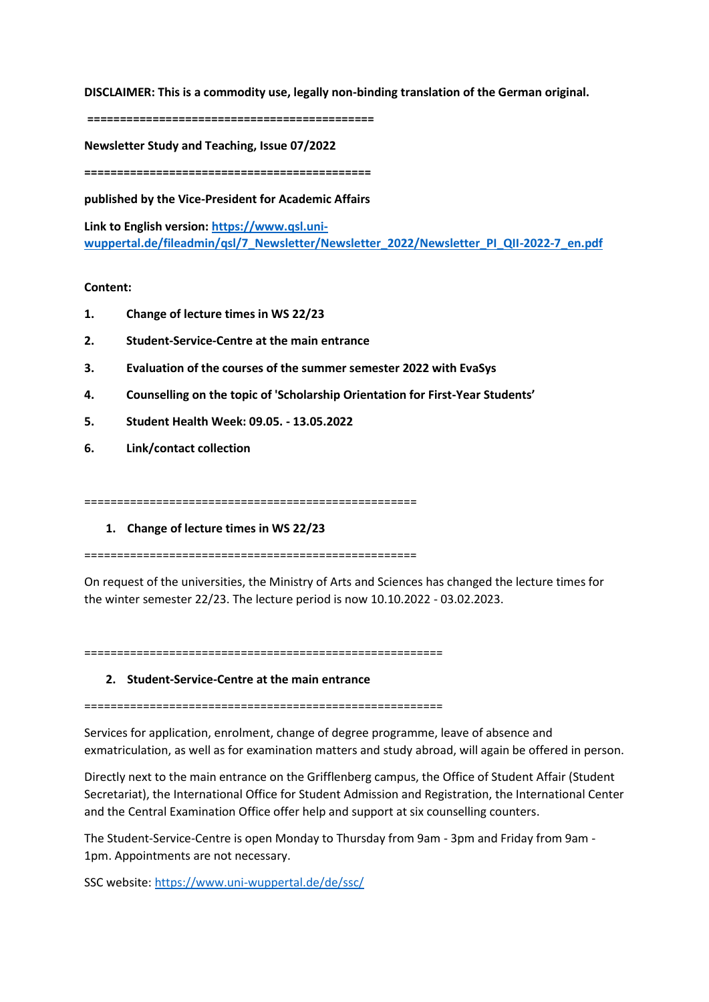**DISCLAIMER: This is a commodity use, legally non-binding translation of the German original.**

**============================================**

**Newsletter Study and Teaching, Issue 07/2022**

**============================================**

**published by the Vice-President for Academic Affairs**

**Link to English version: [https://www.qsl.uni](https://www.qsl.uni-wuppertal.de/fileadmin/qsl/7_Newsletter/Newsletter_2022/Newsletter_PI_QII-2022-7_en.pdf)[wuppertal.de/fileadmin/qsl/7\\_Newsletter/Newsletter\\_2022/Newsletter\\_PI\\_QII-2022-7\\_en.pdf](https://www.qsl.uni-wuppertal.de/fileadmin/qsl/7_Newsletter/Newsletter_2022/Newsletter_PI_QII-2022-7_en.pdf)**

# **Content:**

- **1. Change of lecture times in WS 22/23**
- **2. Student-Service-Centre at the main entrance**
- **3. Evaluation of the courses of the summer semester 2022 with EvaSys**
- **4. Counselling on the topic of 'Scholarship Orientation for First-Year Students'**
- **5. Student Health Week: 09.05. - 13.05.2022**
- **6. Link/contact collection**

===================================================

**1. Change of lecture times in WS 22/23**

===================================================

On request of the universities, the Ministry of Arts and Sciences has changed the lecture times for the winter semester 22/23. The lecture period is now 10.10.2022 - 03.02.2023.

=======================================================

## **2. Student-Service-Centre at the main entrance**

=======================================================

Services for application, enrolment, change of degree programme, leave of absence and exmatriculation, as well as for examination matters and study abroad, will again be offered in person.

Directly next to the main entrance on the Grifflenberg campus, the Office of Student Affair (Student Secretariat), the International Office for Student Admission and Registration, the International Center and the Central Examination Office offer help and support at six counselling counters.

The Student-Service-Centre is open Monday to Thursday from 9am - 3pm and Friday from 9am - 1pm. Appointments are not necessary.

SSC website:<https://www.uni-wuppertal.de/de/ssc/>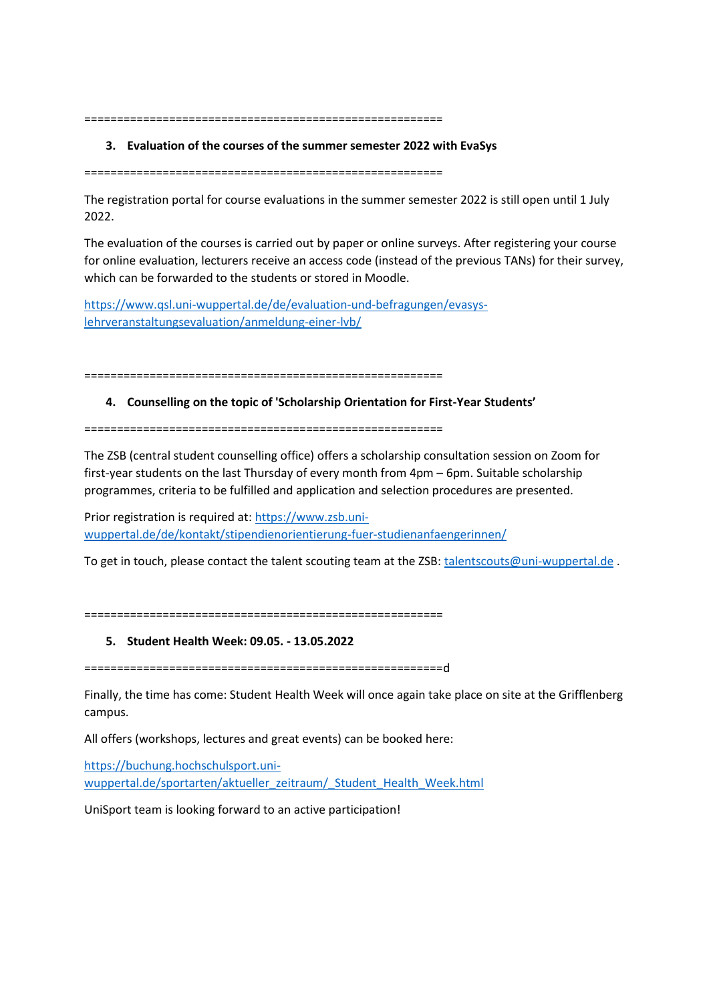=======================================================

### **3. Evaluation of the courses of the summer semester 2022 with EvaSys**

=======================================================

The registration portal for course evaluations in the summer semester 2022 is still open until 1 July 2022.

The evaluation of the courses is carried out by paper or online surveys. After registering your course for online evaluation, lecturers receive an access code (instead of the previous TANs) for their survey, which can be forwarded to the students or stored in Moodle.

[https://www.qsl.uni-wuppertal.de/de/evaluation-und-befragungen/evasys](https://www.qsl.uni-wuppertal.de/de/evaluation-und-befragungen/evasys-lehrveranstaltungsevaluation/anmeldung-einer-lvb/)[lehrveranstaltungsevaluation/anmeldung-einer-lvb/](https://www.qsl.uni-wuppertal.de/de/evaluation-und-befragungen/evasys-lehrveranstaltungsevaluation/anmeldung-einer-lvb/) 

=======================================================

#### **4. Counselling on the topic of 'Scholarship Orientation for First-Year Students'**

=======================================================

The ZSB (central student counselling office) offers a scholarship consultation session on Zoom for first-year students on the last Thursday of every month from 4pm – 6pm. Suitable scholarship programmes, criteria to be fulfilled and application and selection procedures are presented.

Prior registration is required at: [https://www.zsb.uni](https://www.zsb.uni-wuppertal.de/de/kontakt/stipendienorientierung-fuer-studienanfaengerinnen/)[wuppertal.de/de/kontakt/stipendienorientierung-fuer-studienanfaengerinnen/](https://www.zsb.uni-wuppertal.de/de/kontakt/stipendienorientierung-fuer-studienanfaengerinnen/)

To get in touch, please contact the talent scouting team at the ZSB: [talentscouts@uni-wuppertal.de](mailto:talentscouts@uni-wuppertal.de).

=======================================================

### **5. Student Health Week: 09.05. - 13.05.2022**

=======================================================d

Finally, the time has come: Student Health Week will once again take place on site at the Grifflenberg campus.

All offers (workshops, lectures and great events) can be booked here:

[https://buchung.hochschulsport.uni](https://buchung.hochschulsport.uni-wuppertal.de/sportarten/aktueller_zeitraum/_Student_Health_Week.html)wuppertal.de/sportarten/aktueller\_zeitraum/\_Student\_Health\_Week.html

UniSport team is looking forward to an active participation!